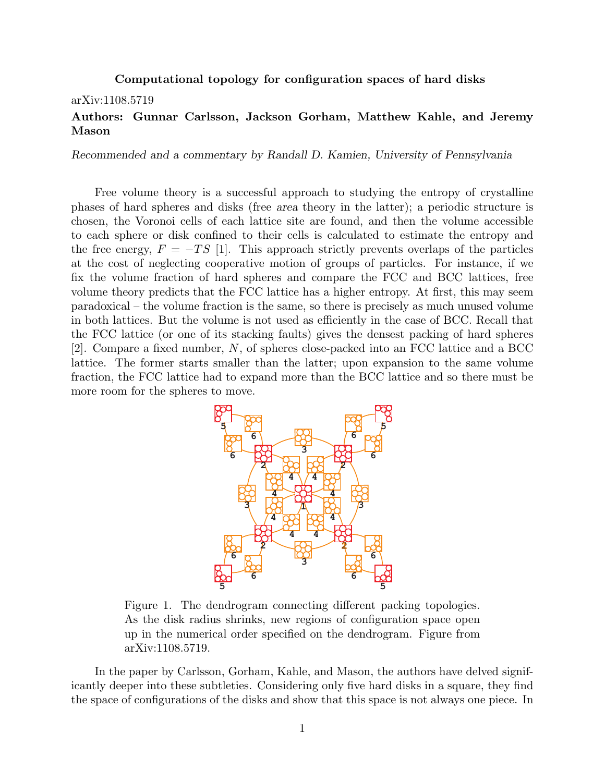## Computational topology for configuration spaces of hard disks

## arXiv:1108.5719

## Authors: Gunnar Carlsson, Jackson Gorham, Matthew Kahle, and Jeremy Mason

*Recommended and a commentary by Randall D. Kamien, University of Pennsylvania*

Free volume theory is a successful approach to studying the entropy of crystalline phases of hard spheres and disks (free *area* theory in the latter); a periodic structure is chosen, the Voronoi cells of each lattice site are found, and then the volume accessible to each sphere or disk confined to their cells is calculated to estimate the entropy and the free energy,  $F = -TS$  [1]. This approach strictly prevents overlaps of the particles at the cost of neglecting cooperative motion of groups of particles. For instance, if we fix the volume fraction of hard spheres and compare the FCC and BCC lattices, free volume theory predicts that the FCC lattice has a higher entropy. At first, this may seem paradoxical – the volume fraction is the same, so there is precisely as much unused volume in both lattices. But the volume is not used as efficiently in the case of BCC. Recall that the FCC lattice (or one of its stacking faults) gives the densest packing of hard spheres [2]. Compare a fixed number, *N*, of spheres close-packed into an FCC lattice and a BCC lattice. The former starts smaller than the latter; upon expansion to the same volume fraction, the FCC lattice had to expand more than the BCC lattice and so there must be more room for the spheres to move.



Figure 5. The dendrogram connecting districtive paesing tope As the disk radius shrinks, new regions of configuration space open up in the numerical order specified on the dendrogram. Figure from arXiv:1108.5719. Figure 1. The dendrogram connecting different packing topologies.

In the paper by Carlsson, Gorham, Kahle, and Mason, the authors have delved significantly deeper into these subtleties. Considering only five hard disks in a square, they find the space of configurations of the disks and show that this space is not always one piece. In